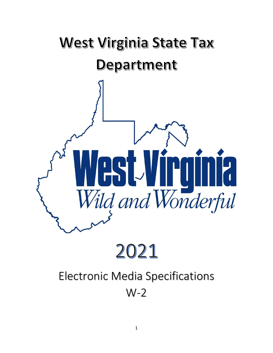

# 2021

## Electronic Media Specifications Electronic Media Specifications W-2 W-2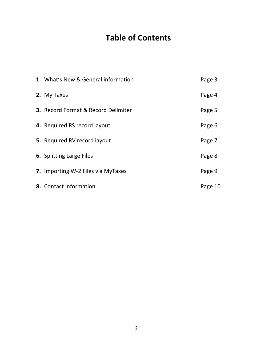## **Table of Contents**

| 1. What's New & General information        | Page 3  |
|--------------------------------------------|---------|
| 2. My Taxes                                | Page 4  |
| <b>3.</b> Record Format & Record Delimiter | Page 5  |
| 4. Required RS record layout               | Page 6  |
| 5. Required RV record layout               | Page 7  |
| <b>6.</b> Splitting Large Files            | Page 8  |
| 7. Importing W-2 Files via MyTaxes         | Page 9  |
| 8. Contact information                     | Page 10 |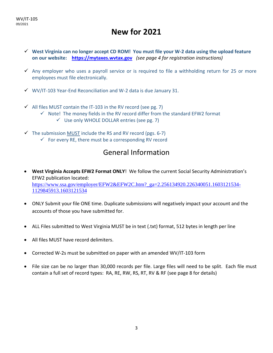## **New for 2021**

- ✓ **West Virginia can no longer accept CD ROM! You must file your W-2 data using the upload feature on our website: [https://mytaxes.wvtax.gov](https://mytaxes.wvtax.gov/)** *(see page 4 for registration instructions)*
- $\checkmark$  Any employer who uses a payroll service or is required to file a withholding return for 25 or more employees must file electronically.
- $\checkmark$  WV/IT-103 Year-End Reconciliation and W-2 data is due January 31.
- $\checkmark$  All files MUST contain the IT-103 in the RV record (see pg. 7)
	- $\checkmark$  Note! The money fields in the RV record differ from the standard EFW2 format
		- $\checkmark$  Use only WHOLE DOLLAR entries (see pg. 7)
- $\checkmark$  The submission MUST include the RS and RV record (pgs. 6-7)
	- $\checkmark$  For every RE, there must be a corresponding RV record

## General Information

- **West Virginia Accepts EFW2 Format ONLY**! We follow the current Social Security Administration's EFW2 publication located: [https://www.ssa.gov/employer/EFW2&EFW2C.htm?\\_ga=2.256134920.226340051.1603121534-](https://www.ssa.gov/employer/EFW2&EFW2C.htm?_ga=2.256134920.226340051.1603121534-1129845913.1603121534) [1129845913.1603121534](https://www.ssa.gov/employer/EFW2&EFW2C.htm?_ga=2.256134920.226340051.1603121534-1129845913.1603121534)
- ONLY Submit your file ONE time. Duplicate submissions will negatively impact your account and the accounts of those you have submitted for.
- ALL Files submitted to West Virginia MUST be in text (.txt) format, 512 bytes in length per line
- All files MUST have record delimiters.
- Corrected W-2s must be submitted on paper with an amended WV/IT-103 form
- File size can be no larger than 30,000 records per file. Large files will need to be split. Each file must contain a full set of record types: RA, RE, RW, RS, RT, RV & RF (see page 8 for details)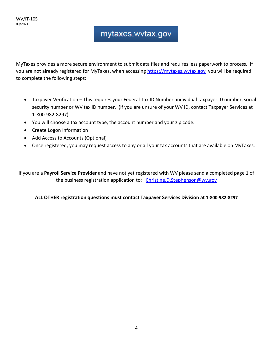## mytaxes.wvtax.gov

MyTaxes provides a more secure environment to submit data files and requires less paperwork to process. If you are not already registered for MyTaxes, when accessing https://mytaxes.wytax.gov you will be required to complete the following steps:

- Taxpayer Verification This requires your Federal Tax ID Number, individual taxpayer ID number, social security number or WV tax ID number. (If you are unsure of your WV ID, contact Taxpayer Services at 1-800-982-8297)
- You will choose a tax account type, the account number and your zip code.
- Create Logon Information
- Add Access to Accounts (Optional)
- Once registered, you may request access to any or all your tax accounts that are available on MyTaxes.

If you are a **Payroll Service Provider** and have not yet registered with WV please send a completed page 1 of the business registration application to: [Christine.D.Stephenson@wv.gov](mailto:Christine.D.Stephenson@wv.gov)

**ALL OTHER registration questions must contact Taxpayer Services Division at 1-800-982-8297**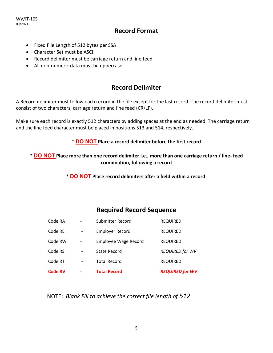WV/IT-105 09/2021

#### **Record Format**

- Fixed File Length of 512 bytes per SSA
- Character Set must be ASCII
- Record delimiter must be carriage return and line feed
- All non-numeric data must be uppercase

#### **Record Delimiter**

A Record delimiter must follow each record in the file except for the last record. The record delimiter must consist of two characters, carriage return and line feed (CR/LF).

Make sure each record is exactly 512 characters by adding spaces at the end as needed. The carriage return and the line feed character must be placed in positions 513 and 514, respectively.

#### \* **DO NOT Place a record delimiter before the first record**

\* **DO NOT Place more than one record delimiter i.e., more than one carriage return / line- feed combination, following a record** 

\* **DO NOT Place record delimiters after a field within a record**.

#### **Required Record Sequence**

| <b>Code RV</b> |   | <b>Total Record</b>         | <b>REQUIRED for WV</b> |
|----------------|---|-----------------------------|------------------------|
| Code RT        |   | <b>Total Record</b>         | <b>REQUIRED</b>        |
| Code RS        |   | <b>State Record</b>         | <b>REQUIRED for WV</b> |
| Code RW        | - | <b>Employee Wage Record</b> | <b>REQUIRED</b>        |
| Code RE        |   | <b>Employer Record</b>      | <b>REQUIRED</b>        |
| Code RA        |   | Submitter Record            | <b>REQUIRED</b>        |

NOTE: *Blank Fill to achieve the correct file length of 512*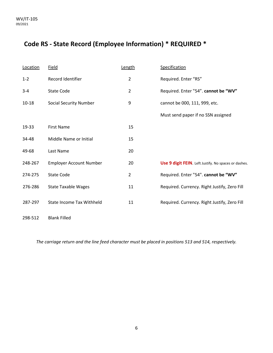### **Code RS - State Record (Employee Information) \* REQUIRED \***

| Location  | <b>Field</b>                     | Length         | <b>Specification</b>                                 |
|-----------|----------------------------------|----------------|------------------------------------------------------|
| $1 - 2$   | Record Identifier                | $\overline{2}$ | Required. Enter "RS"                                 |
| $3 - 4$   | <b>State Code</b>                | $\overline{2}$ | Required. Enter "54". cannot be "WV"                 |
| $10 - 18$ | <b>Social Security Number</b>    | 9              | cannot be 000, 111, 999, etc.                        |
|           |                                  |                | Must send paper if no SSN assigned                   |
| 19-33     | <b>First Name</b>                | 15             |                                                      |
| 34-48     | Middle Name or Initial           | 15             |                                                      |
| 49-68     | Last Name                        | 20             |                                                      |
| 248-267   | <b>Employer Account Number</b>   | 20             | Use 9 digit FEIN. Left Justify. No spaces or dashes. |
| 274-275   | <b>State Code</b>                | $\overline{2}$ | Required. Enter "54". cannot be "WV"                 |
| 276-286   | <b>State Taxable Wages</b>       | 11             | Required. Currency. Right Justify, Zero Fill         |
| 287-297   | <b>State Income Tax Withheld</b> | 11             | Required. Currency. Right Justify, Zero Fill         |
|           |                                  |                |                                                      |

298-512 Blank Filled

*The carriage return and the line feed character must be placed in positions 513 and 514, respectively.*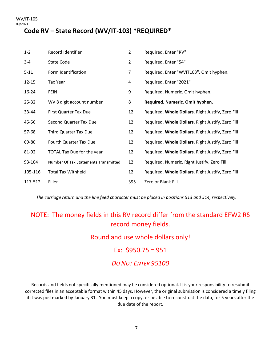#### **Code RV – State Record (WV/IT-103) \*REQUIRED\***

| $1 - 2$   | Record Identifier                    | $\overline{2}$ | Required. Enter "RV"                              |
|-----------|--------------------------------------|----------------|---------------------------------------------------|
| $3 - 4$   | <b>State Code</b>                    | $\overline{2}$ | Required. Enter "54"                              |
| $5 - 11$  | Form Identification                  | 7              | Required. Enter "WVIT103". Omit hyphen.           |
| $12 - 15$ | <b>Tax Year</b>                      | 4              | Required. Enter "2021"                            |
| 16-24     | <b>FEIN</b>                          | 9              | Required. Numeric. Omit hyphen.                   |
| $25 - 32$ | WV 8 digit account number            | 8              | Required. Numeric. Omit hyphen.                   |
| 33-44     | First Quarter Tax Due                | 12             | Required. Whole Dollars. Right Justify, Zero Fill |
| 45-56     | Second Quarter Tax Due               | 12             | Required. Whole Dollars. Right Justify, Zero Fill |
| 57-68     | <b>Third Quarter Tax Due</b>         | 12             | Required. Whole Dollars. Right Justify, Zero Fill |
| 69-80     | Fourth Quarter Tax Due               | 12             | Required. Whole Dollars. Right Justify, Zero Fill |
| 81-92     | TOTAL Tax Due for the year           | 12             | Required. Whole Dollars. Right Justify, Zero Fill |
| 93-104    | Number Of Tax Statements Transmitted | 12             | Required. Numeric. Right Justify, Zero Fill       |
| 105-116   | <b>Total Tax Withheld</b>            | 12             | Required. Whole Dollars. Right Justify, Zero Fill |
| 117-512   | Filler                               | 395            | Zero or Blank Fill.                               |

*The carriage return and the line feed character must be placed in positions 513 and 514, respectively.*

#### NOTE: The money fields in this RV record differ from the standard EFW2 RS record money fields.

Round and use whole dollars only! Ex:  $$950.75 = 951$ *DO NOT ENTER 95100*

Records and fields not specifically mentioned may be considered optional. It is your responsibility to resubmit corrected files in an acceptable format within 45 days. However, the original submission is considered a timely filing if it was postmarked by January 31. You must keep a copy, or be able to reconstruct the data, for 5 years after the due date of the report.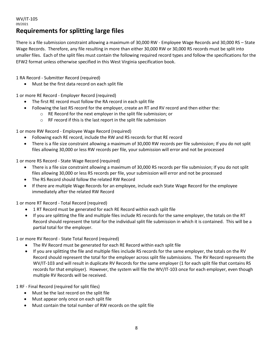#### WV/IT-105 09/2021 **Requirements for splitting large files**

There is a file submission constraint allowing a maximum of 30,000 RW - Employee Wage Records and 30,000 RS – State Wage Records. Therefore, any file resulting in more than either 30,000 RW or 30,000 RS records must be split into smaller files. Each of the split files must contain the following required record types and follow the specifications for the EFW2 format unless otherwise specified in this West Virginia specification book.

1 RA Record - Submitter Record (required)

• Must be the first data record on each split file

1 or more RE Record - Employer Record (required)

- The first RE record must follow the RA record in each split file
- Following the last RS record for the employer, create an RT and RV record and then either the:
	- o RE Record for the next employer in the split file submission; or
	- o RF record if this is the last report in the split file submission

1 or more RW Record - Employee Wage Record (required)

- Following each RE record, include the RW and RS records for that RE record
- There is a file size constraint allowing a maximum of 30,000 RW records per file submission; If you do not split files allowing 30,000 or less RW records per file, your submission will error and not be processed

1 or more RS Record - State Wage Record (required)

- There is a file size constraint allowing a maximum of 30,000 RS records per file submission; If you do not split files allowing 30,000 or less RS records per file, your submission will error and not be processed
- The RS Record should follow the related RW Record
- If there are multiple Wage Records for an employee, include each State Wage Record for the employee immediately after the related RW Record

1 or more RT Record - Total Record (required)

- 1 RT Record must be generated for each RE Record within each split file
- If you are splitting the file and multiple files include RS records for the same employer, the totals on the RT Record should represent the total for the individual split file submission in which it is contained. This will be a partial total for the employer.

1 or more RV Record - State Total Record (required)

- The RV Record must be generated for each RE Record within each split file
- If you are splitting the file and multiple files include RS records for the same employer, the totals on the RV Record should represent the total for the employer across split file submissions. The RV Record represents the WV/IT-103 and will result in duplicate RV Records for the same employer (1 for each split file that contains RS records for that employer). However, the system will file the WV/IT-103 once for each employer, even though multiple RV Records will be received.

1 RF - Final Record (required for split files)

- Must be the last record on the split file
- Must appear only once on each split file
- Must contain the total number of RW records on the split file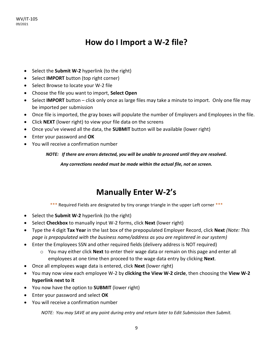## **How do I Import a W-2 file?**

- Select the **Submit W-2** hyperlink (to the right)
- Select **IMPORT** button (top right corner)
- Select Browse to locate your W-2 file
- Choose the file you want to import, **Select Open**
- Select **IMPORT** button click only once as large files may take a minute to import. Only one file may be imported per submission
- Once file is imported, the gray boxes will populate the number of Employers and Employees in the file.
- Click **NEXT** (lower right) to view your file data on the screens
- Once you've viewed all the data, the **SUBMIT** button will be available (lower right)
- Enter your password and **OK**
- You will receive a confirmation number

*NOTE: If there are errors detected, you will be unable to proceed until they are resolved.* 

*Any corrections needed must be made within the actual file, not on screen.* 

## **Manually Enter W-2's**

\*\*\* Required Fields are designated by tiny orange triangle in the upper Left corner \*\*\*

- Select the **Submit W-2** hyperlink (to the right)
- Select **Checkbox** to manually input W-2 forms, click **Next** (lower right)
- Type the 4 digit **Tax Year** in the last box of the prepopulated Employer Record, click **Next** *(Note: This page is prepopulated with the business name/address as you are registered in our system)*
- Enter the Employees SSN and other required fields (delivery address is NOT required)
	- o You may either click **Next** to enter their wage data or remain on this page and enter all employees at one time then proceed to the wage data entry by clicking **Next**.
- Once all employees wage data is entered, click **Next** (lower right)
- You may now view each employee W-2 by **clicking the View W-2 circle**, then choosing the **View W-2 hyperlink next to it**
- You now have the option to **SUBMIT** (lower right)
- Enter your password and select **OK**
- You will receive a confirmation number

*NOTE: You may SAVE at any point during entry and return later to Edit Submission then Submit.*